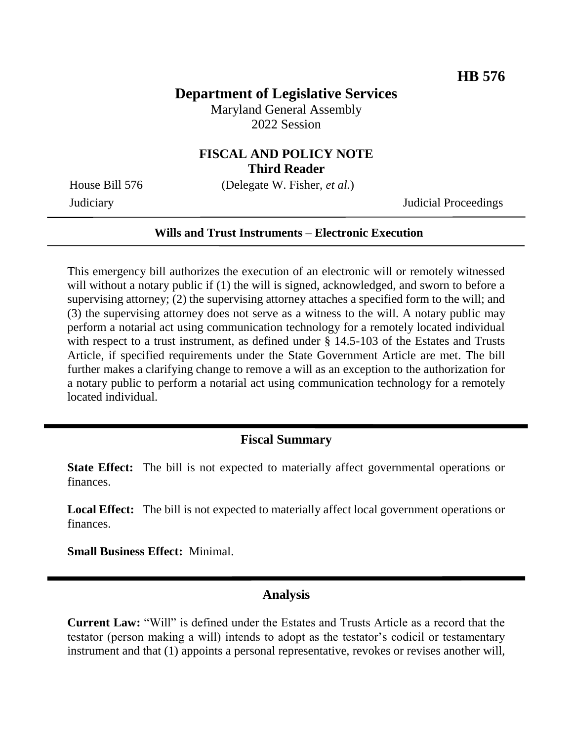### **Department of Legislative Services**

Maryland General Assembly 2022 Session

# **FISCAL AND POLICY NOTE**

**Third Reader**

House Bill 576 (Delegate W. Fisher, *et al.*)

Judiciary Judicial Proceedings

#### **Wills and Trust Instruments – Electronic Execution**

This emergency bill authorizes the execution of an electronic will or remotely witnessed will without a notary public if (1) the will is signed, acknowledged, and sworn to before a supervising attorney; (2) the supervising attorney attaches a specified form to the will; and (3) the supervising attorney does not serve as a witness to the will. A notary public may perform a notarial act using communication technology for a remotely located individual with respect to a trust instrument, as defined under § 14.5-103 of the Estates and Trusts Article, if specified requirements under the State Government Article are met. The bill further makes a clarifying change to remove a will as an exception to the authorization for a notary public to perform a notarial act using communication technology for a remotely located individual.

### **Fiscal Summary**

**State Effect:** The bill is not expected to materially affect governmental operations or finances.

**Local Effect:** The bill is not expected to materially affect local government operations or finances.

**Small Business Effect:** Minimal.

#### **Analysis**

**Current Law:** "Will" is defined under the Estates and Trusts Article as a record that the testator (person making a will) intends to adopt as the testator's codicil or testamentary instrument and that (1) appoints a personal representative, revokes or revises another will,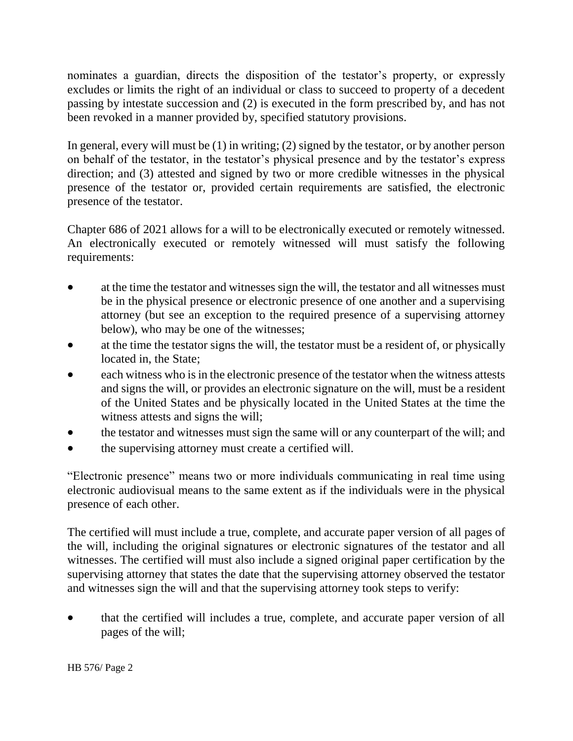nominates a guardian, directs the disposition of the testator's property, or expressly excludes or limits the right of an individual or class to succeed to property of a decedent passing by intestate succession and (2) is executed in the form prescribed by, and has not been revoked in a manner provided by, specified statutory provisions.

In general, every will must be (1) in writing; (2) signed by the testator, or by another person on behalf of the testator, in the testator's physical presence and by the testator's express direction; and (3) attested and signed by two or more credible witnesses in the physical presence of the testator or, provided certain requirements are satisfied, the electronic presence of the testator.

Chapter 686 of 2021 allows for a will to be electronically executed or remotely witnessed. An electronically executed or remotely witnessed will must satisfy the following requirements:

- at the time the testator and witnesses sign the will, the testator and all witnesses must be in the physical presence or electronic presence of one another and a supervising attorney (but see an exception to the required presence of a supervising attorney below), who may be one of the witnesses;
- at the time the testator signs the will, the testator must be a resident of, or physically located in, the State;
- each witness who is in the electronic presence of the testator when the witness attests and signs the will, or provides an electronic signature on the will, must be a resident of the United States and be physically located in the United States at the time the witness attests and signs the will;
- the testator and witnesses must sign the same will or any counterpart of the will; and
- the supervising attorney must create a certified will.

"Electronic presence" means two or more individuals communicating in real time using electronic audiovisual means to the same extent as if the individuals were in the physical presence of each other.

The certified will must include a true, complete, and accurate paper version of all pages of the will, including the original signatures or electronic signatures of the testator and all witnesses. The certified will must also include a signed original paper certification by the supervising attorney that states the date that the supervising attorney observed the testator and witnesses sign the will and that the supervising attorney took steps to verify:

 that the certified will includes a true, complete, and accurate paper version of all pages of the will;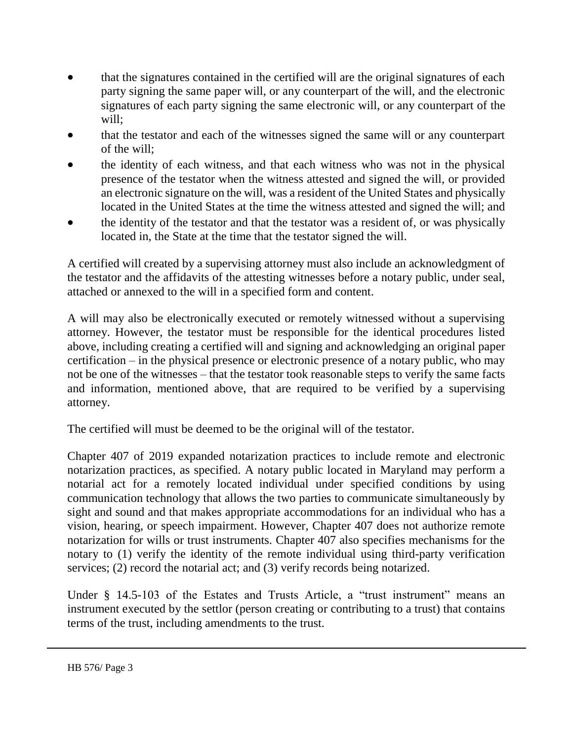- that the signatures contained in the certified will are the original signatures of each party signing the same paper will, or any counterpart of the will, and the electronic signatures of each party signing the same electronic will, or any counterpart of the will;
- that the testator and each of the witnesses signed the same will or any counterpart of the will;
- the identity of each witness, and that each witness who was not in the physical presence of the testator when the witness attested and signed the will, or provided an electronic signature on the will, was a resident of the United States and physically located in the United States at the time the witness attested and signed the will; and
- the identity of the testator and that the testator was a resident of, or was physically located in, the State at the time that the testator signed the will.

A certified will created by a supervising attorney must also include an acknowledgment of the testator and the affidavits of the attesting witnesses before a notary public, under seal, attached or annexed to the will in a specified form and content.

A will may also be electronically executed or remotely witnessed without a supervising attorney. However, the testator must be responsible for the identical procedures listed above, including creating a certified will and signing and acknowledging an original paper certification – in the physical presence or electronic presence of a notary public, who may not be one of the witnesses – that the testator took reasonable steps to verify the same facts and information, mentioned above, that are required to be verified by a supervising attorney.

The certified will must be deemed to be the original will of the testator.

Chapter 407 of 2019 expanded notarization practices to include remote and electronic notarization practices, as specified. A notary public located in Maryland may perform a notarial act for a remotely located individual under specified conditions by using communication technology that allows the two parties to communicate simultaneously by sight and sound and that makes appropriate accommodations for an individual who has a vision, hearing, or speech impairment. However, Chapter 407 does not authorize remote notarization for wills or trust instruments. Chapter 407 also specifies mechanisms for the notary to (1) verify the identity of the remote individual using third-party verification services; (2) record the notarial act; and (3) verify records being notarized.

Under § 14.5-103 of the Estates and Trusts Article, a "trust instrument" means an instrument executed by the settlor (person creating or contributing to a trust) that contains terms of the trust, including amendments to the trust.